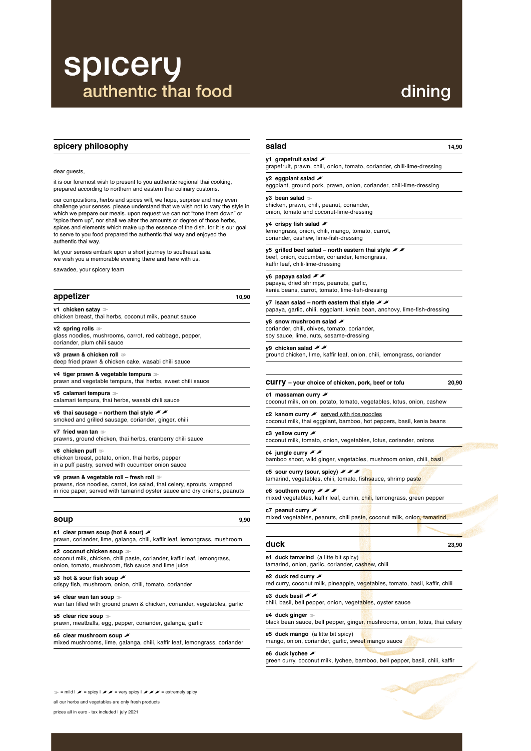## **spicery** authentic thai food

## dining

#### **spicery philosophy**

#### dear guests,

it is our foremost wish to present to you authentic regional thai cooking, prepared according to northern and eastern thai culinary customs.

our compositions, herbs and spices will, we hope, surprise and may even challenge your senses. please understand that we wish not to vary the style in which we prepare our meals. upon request we can not "tone them down" or "spice them up", nor shall we alter the amounts or degree of those herbs, spices and elements which make up the essence of the dish. for it is our goal to serve to you food prepared the authentic thai way and enjoyed the authentic thai way.

**v6** thai sausage – northern thai style  $\mathcal{N}$ smoked and grilled sausage, coriander, ginger, chili

let your senses embark upon a short journey to southeast asia. we wish you a memorable evening there and here with us.

sawadee, your spicery team

#### **appetizer 10,90**

**v1 chicken satay** ! chicken breast, thai herbs, coconut milk, peanut sauce

**v2 spring rolls** ! glass noodles, mushrooms, carrot, red cabbage, pepper, coriander, plum chili sauce

**v3 prawn & chicken roll** ! deep fried prawn & chicken cake, wasabi chili sauce

**s3** hot & sour fish soup  $\blacktriangleright$ crispy fish, mushroom, onion, chili, tomato, coriander

s4 clear wan tan soup  $\gg$ 

**v4 tiger prawn & vegetable tempura** ! prawn and vegetable tempura, thai herbs, sweet chili sauce

**v5 calamari tempura** ! calamari tempura, thai herbs, wasabi chili sauce **y2** eggplant salad eggplant, ground pork, prawn, onion, coriander, chili-lime-dressing

**v7 fried wan tan** ! prawns, ground chicken, thai herbs, cranberry chili sauce

**v8 chicken puff** !

chicken breast, potato, onion, thai herbs, pepper in a puff pastry, served with cucumber onion sauce **y7** isaan salad – north eastern thai style **X** papaya, garlic, chili, eggplant, kenia bean, anchovy, lime-fish-dressing

### **y8** snow mushroom salad  $\blacktriangleright$

**v9 prawn & vegetable roll – fresh roll** ! prawns, rice noodles, carrot, ice salad, thai celery, sprouts, wrapped

in rice paper, served with tamarind oyster sauce and dry onions, peanuts

| soup | 9,90 |
|------|------|
|      |      |

**s1 clear prawn soup (hot & sour)** " prawn, coriander, lime, galanga, chili, kaffir leaf, lemongrass, mushroom **c2** kanom curry *"* served with rice noodles coconut milk, thai eggplant, bamboo, hot peppers, basil, kenia beans

**c3** yellow curry **"** coconut milk, tomato, onion, vegetables, lotus, coriander, onions

#### **c4** jungle curry **\*** bamboo shoot, wild ginger, vegetables, mushroom onion, chili, basil

**c5** sour curry (sour, spicy) **\* \*** 

tamarind, vegetables, chili, tomato, fishsauce, shrimp paste

**c6** southern curry *"* mixed vegetables, kaffir leaf, cumin, chili, lemongrass, green pepper

**c7** peanut curry

mixed vegetables, peanuts, chili paste, coconut milk, onion, tamarind,

#### **s2 coconut chicken soup** !

coconut milk, chicken, chili paste, coriander, kaffir leaf, lemongrass, onion, tomato, mushroom, fish sauce and lime juice

**e1 duck tamarind** (a litte bit spicy) tamarind, onion, garlic, coriander, cashew, chili

wan tan filled with ground prawn & chicken, coriander, vegetables, garlic

**s5 clear rice soup** ! prawn, meatballs, egg, pepper, coriander, galanga, garlic

#### **s6 clear mushroom soup** "

mixed mushrooms, lime, galanga, chili, kaffir leaf, lemongrass, coriander

#### **e2** duck red curry

red curry, coconut milk, pineapple, vegetables, tomato, basil, kaffir, chili

#### **e3** duck basil **\***

chili, basil, bell pepper, onion, vegetables, oyster sauce

#### **salad 14,90**

#### **y1 grapefruit salad** "

grapefruit, prawn, chili, onion, tomato, coriander, chili-lime-dressing

**y3 bean salad** ! chicken, prawn, chili, peanut, coriander, onion, tomato and coconut-lime-dressing

#### **y4** crispy fish salad  $\blacktriangleright$

lemongrass, onion, chili, mango, tomato, carrot, coriander, cashew, lime-fish-dressing

#### **y5** grilled beef salad – north eastern thai style  $\mathcal{L}$

beef, onion, cucumber, coriander, lemongrass, kaffir leaf, chili-lime-dressing

#### **y6** papaya salad **\*\***

papaya, dried shrimps, peanuts, garlic, kenia beans, carrot, tomato, lime-fish-dressing

coriander, chili, chives, tomato, coriander, soy sauce, lime, nuts, sesame-dressing

#### **y9** chicken salad *"*

ground chicken, lime, kaffir leaf, onion, chili, lemongrass, coriander

#### **curry – your choice of chicken, pork, beef or tofu 20,90**

#### **c1 massaman curry** "

coconut milk, onion, potato, tomato, vegetables, lotus, onion, cashew

**duck 23,90**

**e4 duck ginger** !

black bean sauce, bell pepper, ginger, mushrooms, onion, lotus, thai celery

**e5 duck mango** (a litte bit spicy) mango, onion, coriander, garlic, sweet mango sauce

e6 duck lychee  $\blacktriangleright$ 

green curry, coconut milk, lychee, bamboo, bell pepper, basil, chili, kaffir

 $\gg$  = mild  $\mathscr{I}$  = spicy  $\mathscr{I}$   $\mathscr{I}$  = very spicy  $\mathscr{I}$   $\mathscr{I}$   $\mathscr{I}$  = extremely spicy

all our herbs and vegetables are only fresh products

prices all in euro - tax included I july 2021